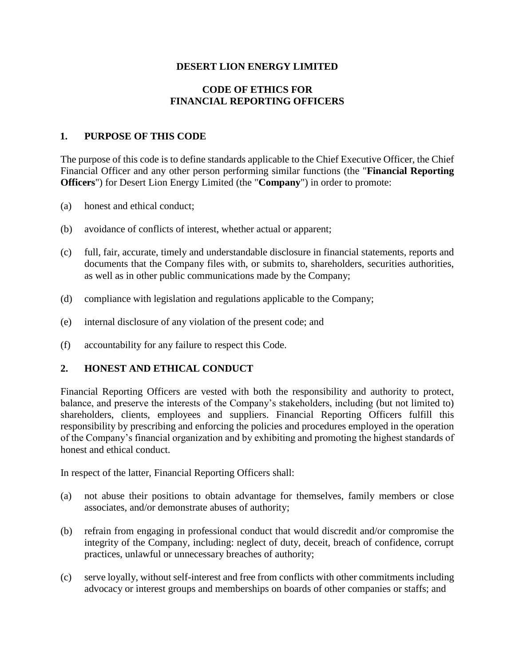## **DESERT LION ENERGY LIMITED**

## **CODE OF ETHICS FOR FINANCIAL REPORTING OFFICERS**

### **1. PURPOSE OF THIS CODE**

The purpose of this code is to define standards applicable to the Chief Executive Officer, the Chief Financial Officer and any other person performing similar functions (the "**Financial Reporting Officers**") for Desert Lion Energy Limited (the "**Company**") in order to promote:

- (a) honest and ethical conduct;
- (b) avoidance of conflicts of interest, whether actual or apparent;
- (c) full, fair, accurate, timely and understandable disclosure in financial statements, reports and documents that the Company files with, or submits to, shareholders, securities authorities, as well as in other public communications made by the Company;
- (d) compliance with legislation and regulations applicable to the Company;
- (e) internal disclosure of any violation of the present code; and
- (f) accountability for any failure to respect this Code.

### **2. HONEST AND ETHICAL CONDUCT**

Financial Reporting Officers are vested with both the responsibility and authority to protect, balance, and preserve the interests of the Company's stakeholders, including (but not limited to) shareholders, clients, employees and suppliers. Financial Reporting Officers fulfill this responsibility by prescribing and enforcing the policies and procedures employed in the operation of the Company's financial organization and by exhibiting and promoting the highest standards of honest and ethical conduct.

In respect of the latter, Financial Reporting Officers shall:

- (a) not abuse their positions to obtain advantage for themselves, family members or close associates, and/or demonstrate abuses of authority;
- (b) refrain from engaging in professional conduct that would discredit and/or compromise the integrity of the Company, including: neglect of duty, deceit, breach of confidence, corrupt practices, unlawful or unnecessary breaches of authority;
- (c) serve loyally, without self-interest and free from conflicts with other commitments including advocacy or interest groups and memberships on boards of other companies or staffs; and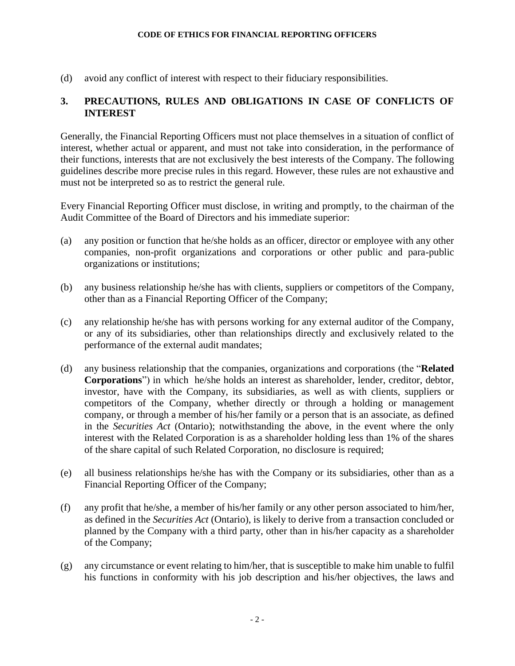#### **CODE OF ETHICS FOR FINANCIAL REPORTING OFFICERS**

(d) avoid any conflict of interest with respect to their fiduciary responsibilities.

# **3. PRECAUTIONS, RULES AND OBLIGATIONS IN CASE OF CONFLICTS OF INTEREST**

Generally, the Financial Reporting Officers must not place themselves in a situation of conflict of interest, whether actual or apparent, and must not take into consideration, in the performance of their functions, interests that are not exclusively the best interests of the Company. The following guidelines describe more precise rules in this regard. However, these rules are not exhaustive and must not be interpreted so as to restrict the general rule.

Every Financial Reporting Officer must disclose, in writing and promptly, to the chairman of the Audit Committee of the Board of Directors and his immediate superior:

- (a) any position or function that he/she holds as an officer, director or employee with any other companies, non-profit organizations and corporations or other public and para-public organizations or institutions;
- (b) any business relationship he/she has with clients, suppliers or competitors of the Company, other than as a Financial Reporting Officer of the Company;
- (c) any relationship he/she has with persons working for any external auditor of the Company, or any of its subsidiaries, other than relationships directly and exclusively related to the performance of the external audit mandates;
- (d) any business relationship that the companies, organizations and corporations (the "**Related Corporations**") in which he/she holds an interest as shareholder, lender, creditor, debtor, investor, have with the Company, its subsidiaries, as well as with clients, suppliers or competitors of the Company, whether directly or through a holding or management company, or through a member of his/her family or a person that is an associate, as defined in the *Securities Act* (Ontario); notwithstanding the above, in the event where the only interest with the Related Corporation is as a shareholder holding less than 1% of the shares of the share capital of such Related Corporation, no disclosure is required;
- (e) all business relationships he/she has with the Company or its subsidiaries, other than as a Financial Reporting Officer of the Company;
- (f) any profit that he/she, a member of his/her family or any other person associated to him/her, as defined in the *Securities Act* (Ontario), is likely to derive from a transaction concluded or planned by the Company with a third party, other than in his/her capacity as a shareholder of the Company;
- (g) any circumstance or event relating to him/her, that is susceptible to make him unable to fulfil his functions in conformity with his job description and his/her objectives, the laws and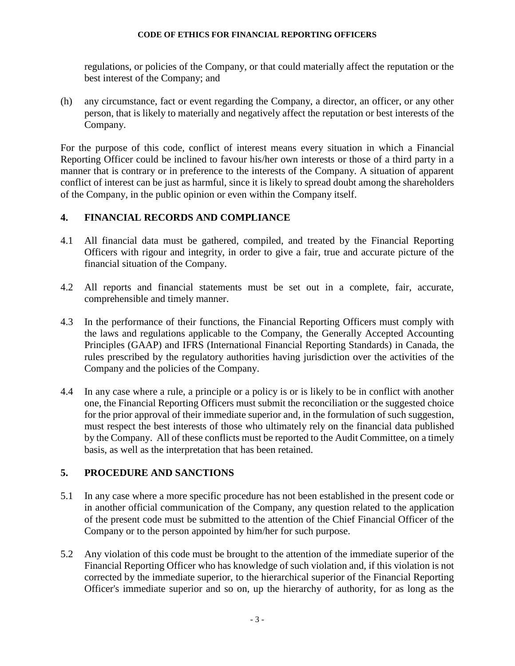#### **CODE OF ETHICS FOR FINANCIAL REPORTING OFFICERS**

regulations, or policies of the Company, or that could materially affect the reputation or the best interest of the Company; and

(h) any circumstance, fact or event regarding the Company, a director, an officer, or any other person, that is likely to materially and negatively affect the reputation or best interests of the Company.

For the purpose of this code, conflict of interest means every situation in which a Financial Reporting Officer could be inclined to favour his/her own interests or those of a third party in a manner that is contrary or in preference to the interests of the Company. A situation of apparent conflict of interest can be just as harmful, since it is likely to spread doubt among the shareholders of the Company, in the public opinion or even within the Company itself.

# **4. FINANCIAL RECORDS AND COMPLIANCE**

- 4.1 All financial data must be gathered, compiled, and treated by the Financial Reporting Officers with rigour and integrity, in order to give a fair, true and accurate picture of the financial situation of the Company.
- 4.2 All reports and financial statements must be set out in a complete, fair, accurate, comprehensible and timely manner.
- 4.3 In the performance of their functions, the Financial Reporting Officers must comply with the laws and regulations applicable to the Company, the Generally Accepted Accounting Principles (GAAP) and IFRS (International Financial Reporting Standards) in Canada, the rules prescribed by the regulatory authorities having jurisdiction over the activities of the Company and the policies of the Company.
- 4.4 In any case where a rule, a principle or a policy is or is likely to be in conflict with another one, the Financial Reporting Officers must submit the reconciliation or the suggested choice for the prior approval of their immediate superior and, in the formulation of such suggestion, must respect the best interests of those who ultimately rely on the financial data published by the Company. All of these conflicts must be reported to the Audit Committee, on a timely basis, as well as the interpretation that has been retained.

## **5. PROCEDURE AND SANCTIONS**

- 5.1 In any case where a more specific procedure has not been established in the present code or in another official communication of the Company, any question related to the application of the present code must be submitted to the attention of the Chief Financial Officer of the Company or to the person appointed by him/her for such purpose.
- 5.2 Any violation of this code must be brought to the attention of the immediate superior of the Financial Reporting Officer who has knowledge of such violation and, if this violation is not corrected by the immediate superior, to the hierarchical superior of the Financial Reporting Officer's immediate superior and so on, up the hierarchy of authority, for as long as the